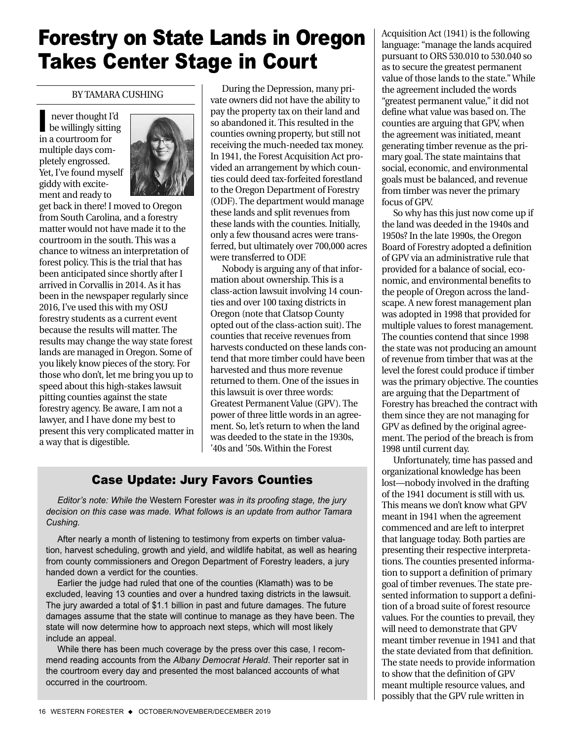## Forestry on State Lands in Oregon Takes Center Stage in Court

BY TAMARA CUSHING

never thought I'd be willingly sitting in a courtroom for multiple days completely engrossed. Yet, I've found myself giddy with excitement and ready to I



get back in there! I moved to Oregon from South Carolina, and a forestry matter would not have made it to the courtroom in the south. This was a chance to witness an interpretation of forest policy. This is the trial that has been anticipated since shortly after I arrived in Corvallis in 2014. As it has been in the newspaper regularly since 2016, I've used this with my OSU forestry students as a current event because the results will matter. The results may change the way state forest lands are managed in Oregon. Some of you likely know pieces of the story. For those who don't, let me bring you up to speed about this high-stakes lawsuit pitting counties against the state forestry agency. Be aware, I am not a lawyer, and I have done my best to present this very complicated matter in a way that is digestible.

During the Depression, many private owners did not have the ability to pay the property tax on their land and so abandoned it. This resulted in the counties owning property, but still not receiving the much-needed tax money. In 1941, the Forest Acquisition Act provided an arrangement by which counties could deed tax-forfeited forestland to the Oregon Department of Forestry (ODF). The department would manage these lands and split revenues from these lands with the counties. Initially, only a few thousand acres were transferred, but ultimately over 700,000 acres were transferred to ODF.

Nobody is arguing any of that information about ownership. This is a class-action lawsuit involving 14 counties and over 100 taxing districts in Oregon (note that Clatsop County opted out of the class-action suit). The counties that receive revenues from harvests conducted on these lands contend that more timber could have been harvested and thus more revenue returned to them. One of the issues in this lawsuit is over three words: Greatest Permanent Value (GPV). The power of three little words in an agreement. So, let's return to when the land was deeded to the state in the 1930s, '40s and '50s.Within the Forest

## Case Update: Jury Favors Counties

*Editor's note: While the* Western Forester *was in its proofing stage, the jury decision on this case was made. What follows is an update from author Tamara Cushing.*

After nearly a month of listening to testimony from experts on timber valuation, harvest scheduling, growth and yield, and wildlife habitat, as well as hearing from county commissioners and Oregon Department of Forestry leaders, a jury handed down a verdict for the counties.

Earlier the judge had ruled that one of the counties (Klamath) was to be excluded, leaving 13 counties and over a hundred taxing districts in the lawsuit. The jury awarded a total of \$1.1 billion in past and future damages. The future damages assume that the state will continue to manage as they have been. The state will now determine how to approach next steps, which will most likely include an appeal.

While there has been much coverage by the press over this case, I recommend reading accounts from the *Albany Democrat Herald*. Their reporter sat in the courtroom every day and presented the most balanced accounts of what occurred in the courtroom.

Acquisition Act (1941) is the following language: "manage the lands acquired pursuant to ORS 530.010 to 530.040 so as to secure the greatest permanent value of those lands to the state." While the agreement included the words "greatest permanent value," it did not define what value was based on. The counties are arguing that GPV, when the agreement was initiated, meant generating timber revenue as the primary goal. The state maintains that social, economic, and environmental goals must be balanced, and revenue from timber was never the primary focus of GPV.

So why has this just now come up if the land was deeded in the 1940s and 1950s? In the late 1990s, the Oregon Board of Forestry adopted a definition of GPV via an administrative rule that provided for a balance of social, economic, and environmental benefits to the people of Oregon across the landscape. A new forest management plan was adopted in 1998 that provided for multiple values to forest management. The counties contend that since 1998 the state was not producing an amount of revenue from timber that was at the level the forest could produce if timber was the primary objective. The counties are arguing that the Department of Forestry has breached the contract with them since they are not managing for GPV as defined by the original agreement. The period of the breach is from 1998 until current day.

Unfortunately, time has passed and organizational knowledge has been lost—nobody involved in the drafting of the 1941 document is still with us. This means we don't know what GPV meant in 1941 when the agreement commenced and are left to interpret that language today. Both parties are presenting their respective interpretations. The counties presented information to support a definition of primary goal of timber revenues. The state presented information to support a definition of a broad suite of forest resource values. For the counties to prevail, they will need to demonstrate that GPV meant timber revenue in 1941 and that the state deviated from that definition. The state needs to provide information to show that the definition of GPV meant multiple resource values, and possibly that the GPV rule written in